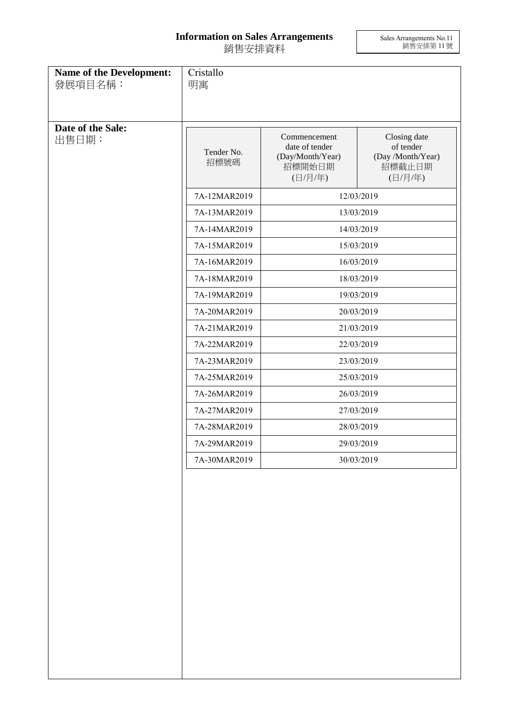## **Information on Sales Arrangements** 銷售安排資料

Sales Arrangements No.11 銷售安排第 11 號

| Name of the Development:<br>發展項目名稱: | Cristallo<br>明寓              |                                                                         |                                                                     |
|-------------------------------------|------------------------------|-------------------------------------------------------------------------|---------------------------------------------------------------------|
| Date of the Sale:<br>出售日期:          | Tender No.<br>招標號碼           | Commencement<br>date of tender<br>(Day/Month/Year)<br>招標開始日期<br>(日/月/年) | Closing date<br>of tender<br>(Day /Month/Year)<br>招標截止日期<br>(日/月/年) |
|                                     | 7A-12MAR2019                 | 12/03/2019                                                              |                                                                     |
|                                     | 7A-13MAR2019                 | 13/03/2019                                                              |                                                                     |
|                                     | 7A-14MAR2019                 | 14/03/2019                                                              |                                                                     |
|                                     | 7A-15MAR2019                 | 15/03/2019                                                              |                                                                     |
|                                     | 7A-16MAR2019                 | 16/03/2019                                                              |                                                                     |
|                                     | 7A-18MAR2019                 | 18/03/2019                                                              |                                                                     |
|                                     | 7A-19MAR2019                 | 19/03/2019                                                              |                                                                     |
|                                     | 7A-20MAR2019                 | 20/03/2019                                                              |                                                                     |
|                                     | 7A-21MAR2019                 | 21/03/2019                                                              |                                                                     |
|                                     | 7A-22MAR2019                 | 22/03/2019                                                              |                                                                     |
|                                     | 7A-23MAR2019                 | 23/03/2019                                                              |                                                                     |
|                                     | 7A-25MAR2019                 | 25/03/2019                                                              |                                                                     |
|                                     | 7A-26MAR2019                 | 26/03/2019                                                              |                                                                     |
|                                     | 7A-27MAR2019<br>7A-28MAR2019 | 27/03/2019                                                              |                                                                     |
|                                     | 7A-29MAR2019                 | 28/03/2019                                                              |                                                                     |
|                                     | 7A-30MAR2019                 | 29/03/2019                                                              |                                                                     |
|                                     |                              | 30/03/2019                                                              |                                                                     |
|                                     |                              |                                                                         |                                                                     |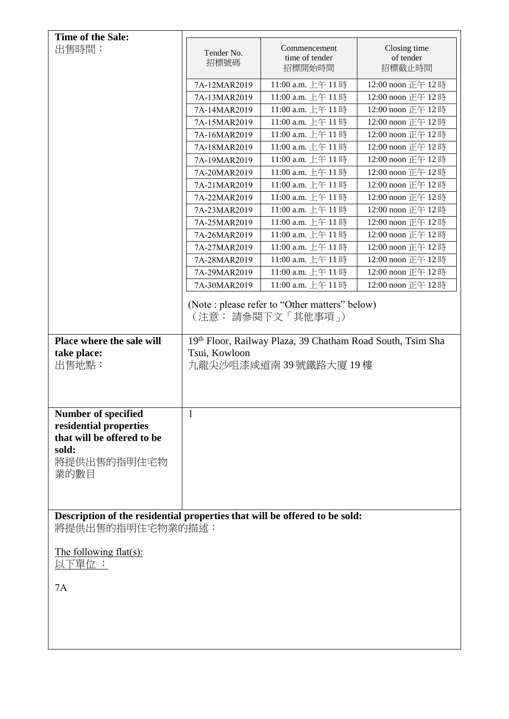| Time of the Sale:                                                                                   |                                                                                                    |                                                                      |                                     |
|-----------------------------------------------------------------------------------------------------|----------------------------------------------------------------------------------------------------|----------------------------------------------------------------------|-------------------------------------|
| 出售時間:                                                                                               | Tender No.<br>招標號碼                                                                                 | Commencement<br>time of tender<br>招標開始時間                             | Closing time<br>of tender<br>招標截止時間 |
|                                                                                                     | 7A-12MAR2019                                                                                       | 11:00 a.m. 上午 11時                                                    | 12:00 noon 正午 12時                   |
|                                                                                                     | 7A-13MAR2019                                                                                       | 11:00 a.m. 上午 11時                                                    | 12:00 noon 正午 12時                   |
|                                                                                                     | 7A-14MAR2019                                                                                       | 11:00 a.m. 上午 11時                                                    | 12:00 noon 正午 12時                   |
|                                                                                                     | 7A-15MAR2019                                                                                       | 11:00 a.m. 上午 11時                                                    | 12:00 noon 正午 12時                   |
|                                                                                                     | 7A-16MAR2019                                                                                       | 11:00 a.m. 上午 11時                                                    | 12:00 noon 正午 12時                   |
|                                                                                                     | 7A-18MAR2019                                                                                       | 11:00 a.m. 上午 11時                                                    | 12:00 noon 正午 12時                   |
|                                                                                                     | 7A-19MAR2019                                                                                       | 11:00 a.m. 上午11時                                                     | 12:00 noon 正午 12時                   |
|                                                                                                     | 7A-20MAR2019                                                                                       | 11:00 a.m. 上午 11時                                                    | 12:00 noon 正午 12時                   |
|                                                                                                     | 7A-21MAR2019                                                                                       | 11:00 a.m. 上午 11時                                                    | 12:00 noon 正午 12時                   |
|                                                                                                     | 7A-22MAR2019                                                                                       | 11:00 a.m. 上午 11時                                                    | 12:00 noon 正午 12時                   |
|                                                                                                     | 7A-23MAR2019                                                                                       | 11:00 a.m. 上午 11時                                                    | 12:00 noon 正午 12時                   |
|                                                                                                     | 7A-25MAR2019                                                                                       | 11:00 a.m. 上午11時                                                     | 12:00 noon 正午 12時                   |
|                                                                                                     | 7A-26MAR2019                                                                                       | 11:00 a.m. 上午 11時                                                    | 12:00 noon 正午 12時                   |
|                                                                                                     | 7A-27MAR2019                                                                                       | 11:00 a.m. 上午 11時                                                    | 12:00 noon 正午 12時                   |
|                                                                                                     | 7A-28MAR2019                                                                                       | 11:00 a.m. 上午 11時                                                    | 12:00 noon 正午 12時                   |
|                                                                                                     | 7A-29MAR2019                                                                                       | 11:00 a.m. 上午 11時                                                    | 12:00 noon 正午 12時                   |
|                                                                                                     | 7A-30MAR2019                                                                                       | 11:00 a.m. 上午11時                                                     | 12:00 noon 正午 12時                   |
| Place where the sale will                                                                           |                                                                                                    | (Note : please refer to "Other matters" below)<br>(注意: 請參閱下文 「其他事項」) |                                     |
| take place:<br>出售地點:                                                                                | 19th Floor, Railway Plaza, 39 Chatham Road South, Tsim Sha<br>Tsui, Kowloon<br>九龍尖沙咀漆咸道南39號鐵路大廈19樓 |                                                                      |                                     |
| Number of specified<br>residential properties<br>that will be offered to be<br>sold:<br>將提供出售的指明住宅物 | $\mathbf{1}$                                                                                       |                                                                      |                                     |
| 業的數目                                                                                                |                                                                                                    |                                                                      |                                     |
| Description of the residential properties that will be offered to be sold:<br>將提供出售的指明住宅物業的描述:      |                                                                                                    |                                                                      |                                     |
| The following flat(s):<br>以下單位 :                                                                    |                                                                                                    |                                                                      |                                     |
| 7A                                                                                                  |                                                                                                    |                                                                      |                                     |
|                                                                                                     |                                                                                                    |                                                                      |                                     |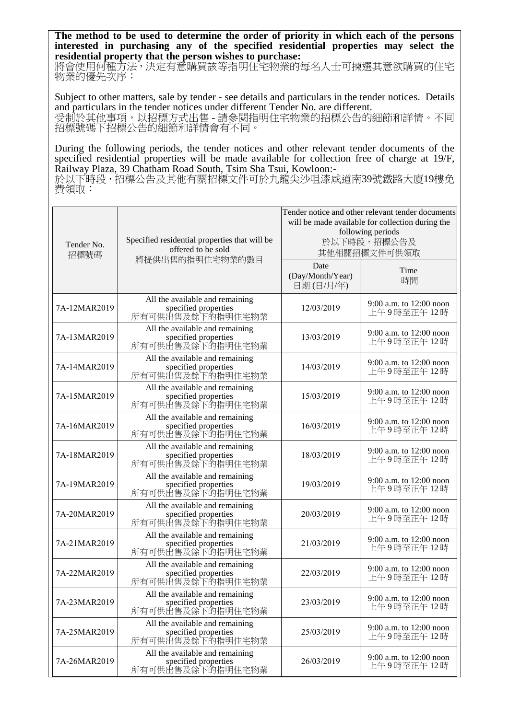**The method to be used to determine the order of priority in which each of the persons interested in purchasing any of the specified residential properties may select the residential property that the person wishes to purchase:** 

將會使用何種方法,決定有意購買該等指明住宅物業的每名人士可揀選其意欲購買的住宅 物業的優先次序:

Subject to other matters, sale by tender - see details and particulars in the tender notices. Details and particulars in the tender notices under different Tender No. are different. 受制於其他事項,以招標方式出售 - 請參閱指明住宅物業的招標公告的細節和詳情。不同 招標號碼下招標公告的細節和詳情會有不同。

During the following periods, the tender notices and other relevant tender documents of the specified residential properties will be made available for collection free of charge at 19/F, Railway Plaza, 39 Chatham Road South, Tsim Sha Tsui, Kowloon:-

於以下時段,招標公告及其他有關招標文件可於九龍尖沙咀漆咸道南39號鐵路大廈19樓免 費領取:

| Tender No.<br>招標號碼 | Specified residential properties that will be<br>offered to be sold         | Tender notice and other relevant tender documents<br>will be made available for collection during the<br>following periods<br>於以下時段,招標公告及<br>其他相關招標文件可供領取 |                                         |
|--------------------|-----------------------------------------------------------------------------|-----------------------------------------------------------------------------------------------------------------------------------------------------------|-----------------------------------------|
|                    | 將提供出售的指明住宅物業的數目                                                             | Date<br>(Day/Month/Year)<br>日期(日/月/年)                                                                                                                     | Time<br>時間                              |
| 7A-12MAR2019       | All the available and remaining<br>specified properties<br>所有可供出售及餘下的指明住宅物業 | 12/03/2019                                                                                                                                                | 9:00 a.m. to 12:00 noon<br>上午9時至正午12時   |
| 7A-13MAR2019       | All the available and remaining<br>specified properties<br>所有可供出售及餘下的指明住宅物業 | 13/03/2019                                                                                                                                                | 9:00 a.m. to $12:00$ noon<br>上午9時至正午12時 |
| 7A-14MAR2019       | All the available and remaining<br>specified properties<br>所有可供出售及餘下的指明住宅物業 | 14/03/2019                                                                                                                                                | 9:00 a.m. to 12:00 noon<br>上午9時至正午12時   |
| 7A-15MAR2019       | All the available and remaining<br>specified properties<br>所有可供出售及餘下的指明住宅物業 | 15/03/2019                                                                                                                                                | 9:00 a.m. to 12:00 noon<br>上午9時至正午12時   |
| 7A-16MAR2019       | All the available and remaining<br>specified properties<br>所有可供出售及餘下的指明住宅物業 | 16/03/2019                                                                                                                                                | 9:00 a.m. to 12:00 noon<br>上午9時至正午12時   |
| 7A-18MAR2019       | All the available and remaining<br>specified properties<br>所有可供出售及餘下的指明住宅物業 | 18/03/2019                                                                                                                                                | 9:00 a.m. to 12:00 noon<br>上午9時至正午12時   |
| 7A-19MAR2019       | All the available and remaining<br>specified properties<br>所有可供出售及餘下的指明住宅物業 | 19/03/2019                                                                                                                                                | 9:00 a.m. to 12:00 noon<br>上午9時至正午12時   |
| 7A-20MAR2019       | All the available and remaining<br>specified properties<br>所有可供出售及餘下的指明住宅物業 | 20/03/2019                                                                                                                                                | 9:00 a.m. to 12:00 noon<br>上午9時至正午12時   |
| 7A-21MAR2019       | All the available and remaining<br>specified properties<br>所有可供出售及餘下的指明住宅物業 | 21/03/2019                                                                                                                                                | 9:00 a.m. to 12:00 noon<br>上午9時至正午12時   |
| 7A-22MAR2019       | All the available and remaining<br>specified properties<br>所有可供出售及餘下的指明住宅物業 | 22/03/2019                                                                                                                                                | 9:00 a.m. to 12:00 noon<br>上午9時至正午12時   |
| 7A-23MAR2019       | All the available and remaining<br>specified properties<br>所有可供出售及餘下的指明住宅物業 | 23/03/2019                                                                                                                                                | 9:00 a.m. to 12:00 noon<br>上午9時至正午12時   |
| 7A-25MAR2019       | All the available and remaining<br>specified properties<br>所有可供出售及餘下的指明住宅物業 | 25/03/2019                                                                                                                                                | 9:00 a.m. to 12:00 noon<br>上午9時至正午12時   |
| 7A-26MAR2019       | All the available and remaining<br>specified properties<br>所有可供出售及餘下的指明住宅物業 | 26/03/2019                                                                                                                                                | 9:00 a.m. to $12:00$ noon<br>上午9時至正午12時 |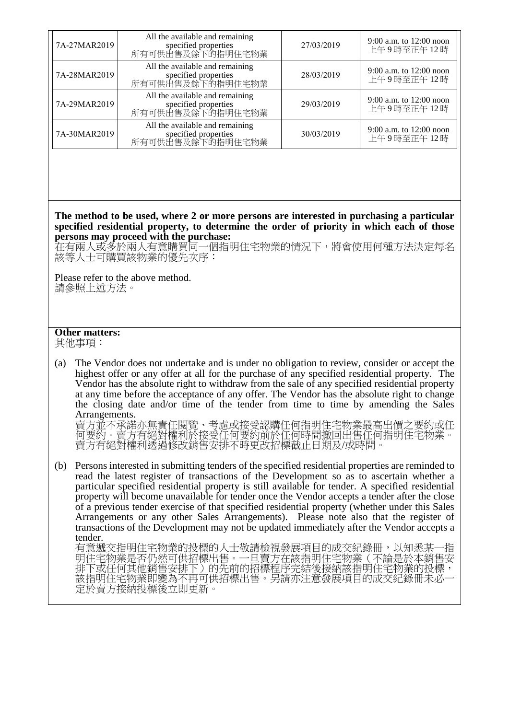| 7A-27MAR2019 | All the available and remaining<br>specified properties<br>所有可供出售及餘下的指明住宅物業 | 27/03/2019 | 9:00 a.m. to $12:00$ noon<br>上午9時至正午12時 |
|--------------|-----------------------------------------------------------------------------|------------|-----------------------------------------|
| 7A-28MAR2019 | All the available and remaining<br>specified properties<br>所有可供出售及餘下的指明住宅物業 | 28/03/2019 | 9:00 a.m. to $12:00$ noon<br>上午9時至正午12時 |
| 7A-29MAR2019 | All the available and remaining<br>specified properties<br>所有可供出售及餘下的指明住宅物業 | 29/03/2019 | 9:00 a.m. to $12:00$ noon<br>上午9時至正午12時 |
| 7A-30MAR2019 | All the available and remaining<br>specified properties<br>所有可供出售及餘下的指明住宅物業 | 30/03/2019 | 9:00 a.m. to $12:00$ noon<br>上午9時至正午12時 |

**The method to be used, where 2 or more persons are interested in purchasing a particular specified residential property, to determine the order of priority in which each of those persons may proceed with the purchase:**

在有兩人或多於兩人有意購買同一個指明住宅物業的情況下,將會使用何種方法決定每名 該等人士可購買該物業的優先次序:

Please refer to the above method. 請參照上述方法。

## **Other matters:**

其他事項:

(a) The Vendor does not undertake and is under no obligation to review, consider or accept the highest offer or any offer at all for the purchase of any specified residential property. The Vendor has the absolute right to withdraw from the sale of any specified residential property at any time before the acceptance of any offer. The Vendor has the absolute right to change the closing date and/or time of the tender from time to time by amending the Sales Arrangements.

賣方並不承諾亦無責任閱覽、考慮或接受認購任何指明住宅物業最高出價之要約或任 何要約。賣方有絕對權利於接受任何要約前於任何時間撤回出售任何指明住宅物業。 賣方有絕對權利透過修改銷售安排不時更改招標截止日期及/或時間。

(b) Persons interested in submitting tenders of the specified residential properties are reminded to read the latest register of transactions of the Development so as to ascertain whether a particular specified residential property is still available for tender. A specified residential property will become unavailable for tender once the Vendor accepts a tender after the close of a previous tender exercise of that specified residential property (whether under this Sales Arrangements or any other Sales Arrangements). Please note also that the register of transactions of the Development may not be updated immediately after the Vendor accepts a tender.

有意遞交指明住宅物業的投標的人士敬請檢視發展項目的成交紀錄冊,以知悉某一指 明住宅物業是否仍然可供招標出售。一旦賣方在該指明住宅物業(不論是於本銷售安 排下或任何其他銷售安排下)的先前的招標程序完結後接納該指明住宅物業的投標, 該指明住宅物業即變為不再可供招標出售。另請亦注意發展項目的成交紀錄冊未必一 定於賣方接納投標後立即更新。